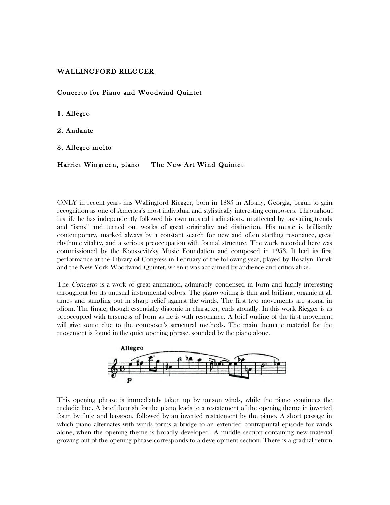## WALLINGFORD RIEGGER

Concerto for Piano and Woodwind Quintet

1. Allegro

2. Andante

3. Allegro molto

Harriet Wingreen, piano The New Art Wind Quintet

ONLY in recent years has Wallingford Riegger, born in 1885 in Albany, Georgia, begun to gain recognition as one of America's most individual and stylistically interesting composers. Throughout his life he has independently followed his own musical inclinations, unaffected by prevailing trends and "isms" and turned out works of great originality and distinction. His music is brilliantly contemporary, marked always by a constant search for new and often startling resonance, great rhythmic vitality, and a serious preoccupation with formal structure. The work recorded here was commissioned by the Koussevitzky Music Foundation and composed in 1953. It had its first performance at the Library of Congress in February of the following year, played by Rosalyn Turek and the New York Woodwind Quintet, when it was acclaimed by audience and critics alike.

The *Concerto* is a work of great animation, admirably condensed in form and highly interesting throughout for its unusual instrumental colors. The piano writing is thin and brilliant, organic at all times and standing out in sharp relief against the winds. The first two movements are atonal in idiom. The finale, though essentially diatonic in character, ends atonally. In this work Riegger is as preoccupied with terseness of form as he is with resonance. A brief outline of the first movement will give some clue to the composer's structural methods. The main thematic material for the movement is found in the quiet opening phrase, sounded by the piano alone.



This opening phrase is immediately taken up by unison winds, while the piano continues the melodic line. A brief flourish for the piano leads to a restatement of the opening theme in inverted form by flute and bassoon, followed by an inverted restatement by the piano. A short passage in which piano alternates with winds forms a bridge to an extended contrapuntal episode for winds alone, when the opening theme is broadly developed. A middle section containing new material growing out of the opening phrase corresponds to a development section. There is a gradual return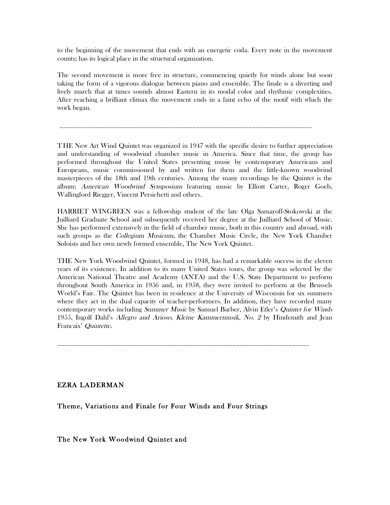to the beginning of the movement that ends with an energetic coda. Every note in the movement counts; has its logical place in the structural organization.

The second movement is more free in structure, commencing quietly for winds alone but soon taking the form of a vigorous dialogue between piano and ensemble. The finale is a diverting and lively march that at times sounds almost Eastern in its modal color and rhythmic complexities. After reaching a brilliant climax the movement ends in a faint echo of the motif with which the work began.

\_\_\_\_\_\_\_\_\_\_\_\_\_\_\_\_\_\_\_\_\_\_\_\_\_\_\_\_\_\_\_\_\_\_\_\_\_\_\_\_\_\_\_\_\_\_\_\_\_\_\_\_\_\_\_\_\_\_\_\_\_\_\_\_\_\_\_\_\_\_\_\_

THE New Art Wind Quintet was organized in 1947 with the specific desire to further appreciation and understanding of woodwind chamber music in America. Since that time, the group has performed throughout the United States presenting music by contemporary Americans and Europeans, music commissioned by and written for them and the little-known woodwind masterpieces of the 18th and 19th centuries. Among the many recordings by the Quintet is the album: American Woodwind Symposium featuring music by Elliott Carter, Roger Goeb, Wallingford Riegger, Vincent Persichetti and others.

HARRIET WINGREEN was a fellowship student of the late Olga Samaroff-Stokowski at the Juilliard Graduate School and subsequently received her degree at the Juilliard School of Music. She has performed extensively in the field of chamber music, both in this country and abroad, with such groups as the *Collegium Musicum*, the Chamber Music Circle, the New York Chamber Soloists and her own newly formed ensemble, The New York Quintet.

THE New York Woodwind Quintet, formed in 1948, has had a remarkable success in the eleven years of its existence. In addition to its many United States tours, the group was selected by the American National Theatre and Academy (ANTA) and the U.S. State Department to perform throughout South America in 1956 and, in 1958, they were invited to perform at the Brussels World's Fair. The Quintet has been in residence at the University of Wisconsin for six summers where they act in the dual capacity of teacher-performers. In addition, they have recorded many contemporary works including Summer Music by Samuel Barber, Alvin Etler's Quintet for Winds 1955, Ingolf Dahl's Allegro and Arioso, Kleine Kammermusik, No. 2 by Hindemith and Jean Francaix' Quintette.

\_\_\_\_\_\_\_\_\_\_\_\_\_\_\_\_\_\_\_\_\_\_\_\_\_\_\_\_\_\_\_\_\_\_\_\_\_\_\_\_\_\_\_\_\_\_\_\_\_\_\_\_\_\_\_\_\_\_\_\_\_\_\_\_\_\_\_\_\_\_\_\_

## EZRA LADERMAN

Theme, Variations and Finale for Four Winds and Four Strings

The New York Woodwind Quintet and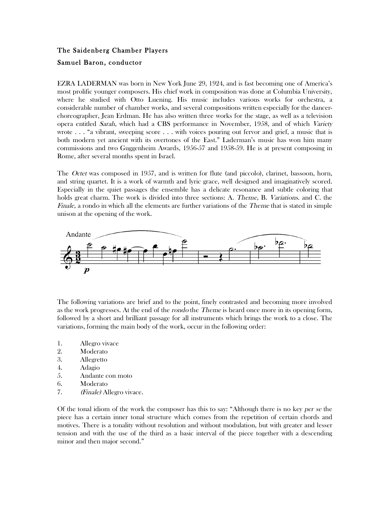## The Saidenberg Chamber Players Samuel Baron, conductor

EZRA LADERMAN was born in New York June 29, 1924, and is fast becoming one of America's most prolific younger composers. His chief work in composition was done at Columbia University, where he studied with Otto Luening. His music includes various works for orchestra, a considerable number of chamber works, and several compositions written especially for the dancerchoreographer, Jean Erdman. He has also written three works for the stage, as well as a television opera entitled Sarah, which had a CBS performance in November, 1958, and of which Variety wrote . . . "a vibrant, sweeping score . . . with voices pouring out fervor and grief, a music that is both modern yet ancient with its overtones of the East." Laderman's music has won him many commissions and two Guggenheim Awards, 1956-57 and 1958-59. He is at present composing in Rome, after several months spent in Israel.

The *Octet* was composed in 1957, and is written for flute (and piccolo), clarinet, bassoon, horn, and string quartet. It is a work of warmth and lyric grace, well designed and imaginatively scored. Especially in the quiet passages the ensemble has a delicate resonance and subtle coloring that holds great charm. The work is divided into three sections: A. *Theme*, B. *Variations*. and C. the Finale, a rondo in which all the elements are further variations of the Theme that is stated in simple unison at the opening of the work.



The following variations are brief and to the point, finely contrasted and becoming more involved as the work progresses. At the end of the *rondo* the *Theme* is heard once more in its opening form, followed by a short and brilliant passage for all instruments which brings the work to a close. The variations, forming the main body of the work, occur in the following order:

- 1. Allegro vivace
- 2. Moderato
- 3. Allegretto
- 4. Adagio
- 5. Andante con moto
- 6. Moderato
- 7. (Finale) Allegro vivace.

Of the tonal idiom of the work the composer has this to say: "Although there is no key per se the piece has a certain inner tonal structure which comes from the repetition of certain chords and motives. There is a tonality without resolution and without modulation, but with greater and lesser tension and with the use of the third as a basic interval of the piece together with a descending minor and then major second."